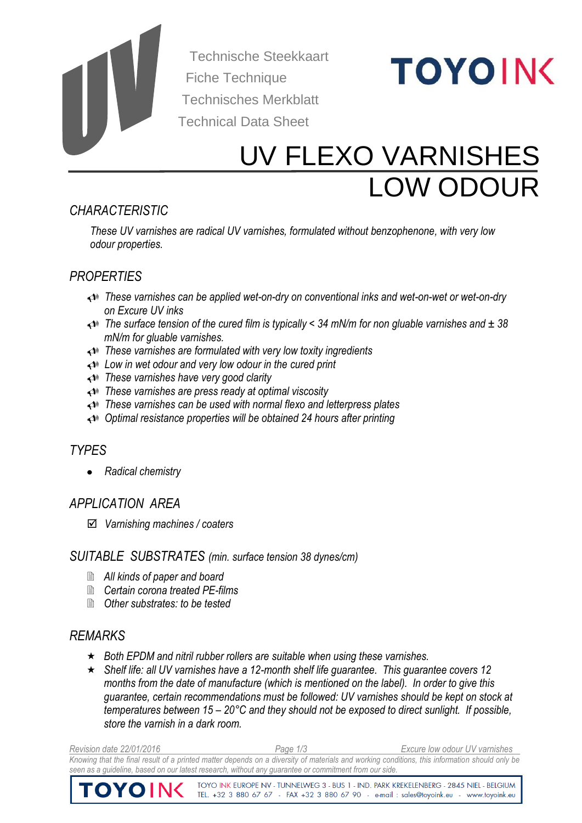

 Technische Steekkaart Fiche Technique Technisches Merkblatt Technical Data Sheet

# **TOYOING**

# UV FLEXO VARNISHES LOW ODOUR

# *CHARACTERISTIC*

*These UV varnishes are radical UV varnishes, formulated without benzophenone, with very low odour properties.*

# *PROPERTIES*

- *These varnishes can be applied wet-on-dry on conventional inks and wet-on-wet or wet-on-dry on Excure UV inks*
- *The surface tension of the cured film is typically < 34 mN/m for non gluable varnishes and ± 38 mN/m for gluable varnishes.*
- *These varnishes are formulated with very low toxity ingredients*
- *Low in wet odour and very low odour in the cured print*
- *These varnishes have very good clarity*
- *These varnishes are press ready at optimal viscosity*
- *These varnishes can be used with normal flexo and letterpress plates*
- *Optimal resistance properties will be obtained 24 hours after printing*

# *TYPES*

*Radical chemistry*

# *APPLICATION AREA*

*Varnishing machines / coaters*

#### *SUITABLE SUBSTRATES (min. surface tension 38 dynes/cm)*

- *All kinds of paper and board*
- *Certain corona treated PE-films*
- *Other substrates: to be tested*

# *REMARKS*

- *Both EPDM and nitril rubber rollers are suitable when using these varnishes.*
- *Shelf life: all UV varnishes have a 12-month shelf life guarantee. This guarantee covers 12 months from the date of manufacture (which is mentioned on the label). In order to give this guarantee, certain recommendations must be followed: UV varnishes should be kept on stock at temperatures between 15 – 20°C and they should not be exposed to direct sunlight. If possible, store the varnish in a dark room.*

*Revision date 22/01/2016 Page 1/3 Excure low odour UV varnishes Knowing that the final result of a printed matter depends on a diversity of materials and working conditions, this information should only be seen as a guideline, based on our latest research, without any guarantee or commitment from our side.* 

> TOYO INK EUROPE NV - TUNNELWEG 3 - BUS 1 - IND. PARK KREKELENBERG - 2845 NIEL - BELGIUM TEL. +32 3 880 67 67 - FAX +32 3 880 67 90 - e-mail : sales@toyoink.eu - www.toyoink.eu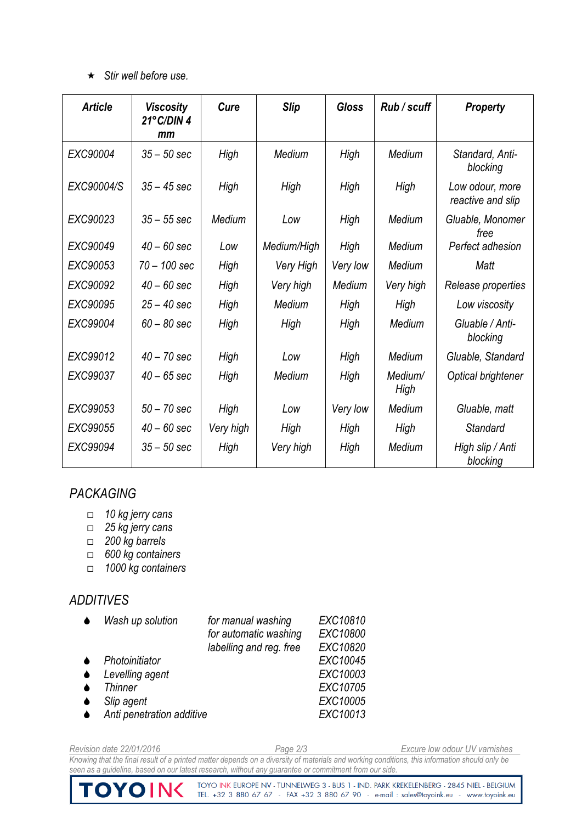#### *Stir well before use.*

| <b>Article</b> | <b>Viscosity</b><br>21°C/DIN4<br>mm | Cure      | <b>Slip</b> | <b>Gloss</b> | Rub / scuff     | <b>Property</b>                      |
|----------------|-------------------------------------|-----------|-------------|--------------|-----------------|--------------------------------------|
| EXC90004       | $35 - 50$ sec                       | High      | Medium      | High         | Medium          | Standard, Anti-<br>blocking          |
| EXC90004/S     | $35 - 45$ sec                       | High      | High        | High         | High            | Low odour, more<br>reactive and slip |
| EXC90023       | $35 - 55$ sec                       | Medium    | Low         | High         | Medium          | Gluable, Monomer<br>free             |
| EXC90049       | $40 - 60$ sec                       | Low       | Medium/High | High         | Medium          | Perfect adhesion                     |
| EXC90053       | $70 - 100$ sec                      | High      | Very High   | Very low     | Medium          | Matt                                 |
| EXC90092       | $40 - 60$ sec                       | High      | Very high   | Medium       | Very high       | Release properties                   |
| EXC90095       | $25 - 40$ sec                       | High      | Medium      | High         | High            | Low viscosity                        |
| EXC99004       | $60 - 80$ sec                       | High      | High        | High         | Medium          | Gluable / Anti-<br>blocking          |
| EXC99012       | $40 - 70$ sec                       | High      | Low         | High         | Medium          | Gluable, Standard                    |
| EXC99037       | $40 - 65$ sec                       | High      | Medium      | High         | Medium/<br>High | Optical brightener                   |
| EXC99053       | $50 - 70$ sec                       | High      | Low         | Very low     | Medium          | Gluable, matt                        |
| EXC99055       | $40 - 60$ sec                       | Very high | High        | High         | High            | <b>Standard</b>                      |
| EXC99094       | $35 - 50$ sec                       | High      | Very high   | High         | Medium          | High slip / Anti<br>blocking         |

# *PACKAGING*

- *10 kg jerry cans*
- *25 kg jerry cans*
- *200 kg barrels*

TOYOIN

- *600 kg containers*
- *1000 kg containers*

# *ADDITIVES*

| Wash up solution          | for manual washing<br>for automatic washing<br>labelling and reg. free | EXC10810<br>EXC10800<br>EXC10820 |
|---------------------------|------------------------------------------------------------------------|----------------------------------|
| Photoinitiator            |                                                                        | EXC10045                         |
| Levelling agent           |                                                                        | EXC10003                         |
| <b>Thinner</b>            |                                                                        | EXC10705                         |
| Slip agent                |                                                                        | EXC10005                         |
| Anti penetration additive |                                                                        | EXC10013                         |

*Revision date 22/01/2016 Page 2/3 Excure low odour UV varnishes Knowing that the final result of a printed matter depends on a diversity of materials and working conditions, this information should only be seen as a guideline, based on our latest research, without any guarantee or commitment from our side.* 

TOYO INK EUROPE NV - TUNNELWEG 3 - BUS 1 - IND. PARK KREKELENBERG - 2845 NIEL - BELGIUM<br>TEL. +32 3 880 67 67 - FAX +32 3 880 67 90 - e-mail : sales@toyoink.eu - www.toyoink.eu